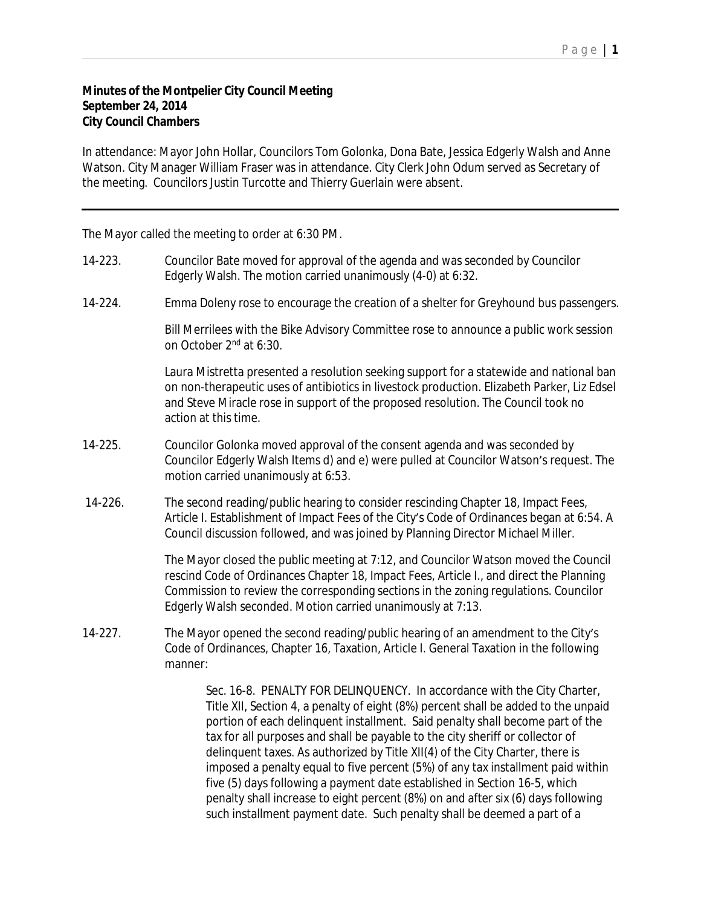## **Minutes of the Montpelier City Council Meeting September 24, 2014 City Council Chambers**

In attendance: Mayor John Hollar, Councilors Tom Golonka, Dona Bate, Jessica Edgerly Walsh and Anne Watson. City Manager William Fraser was in attendance. City Clerk John Odum served as Secretary of the meeting. Councilors Justin Turcotte and Thierry Guerlain were absent.

The Mayor called the meeting to order at 6:30 PM.

- 14-223. Councilor Bate moved for approval of the agenda and was seconded by Councilor Edgerly Walsh. The motion carried unanimously (4-0) at 6:32.
- 14-224. Emma Doleny rose to encourage the creation of a shelter for Greyhound bus passengers.

Bill Merrilees with the Bike Advisory Committee rose to announce a public work session on October 2nd at 6:30.

Laura Mistretta presented a resolution seeking support for a statewide and national ban on non-therapeutic uses of antibiotics in livestock production. Elizabeth Parker, Liz Edsel and Steve Miracle rose in support of the proposed resolution. The Council took no action at this time.

- 14-225. Councilor Golonka moved approval of the consent agenda and was seconded by Councilor Edgerly Walsh Items d) and e) were pulled at Councilor Watson's request. The motion carried unanimously at 6:53.
- 14-226. The second reading/public hearing to consider rescinding Chapter 18, Impact Fees, Article I. Establishment of Impact Fees of the City's Code of Ordinances began at 6:54. A Council discussion followed, and was joined by Planning Director Michael Miller.

The Mayor closed the public meeting at 7:12, and Councilor Watson moved the Council rescind Code of Ordinances Chapter 18, Impact Fees, Article I., and direct the Planning Commission to review the corresponding sections in the zoning regulations. Councilor Edgerly Walsh seconded. Motion carried unanimously at 7:13.

14-227. The Mayor opened the second reading/public hearing of an amendment to the City's Code of Ordinances, Chapter 16, Taxation, Article I. General Taxation in the following manner:

> Sec. 16-8. PENALTY FOR DELINQUENCY. In accordance with the City Charter, Title XII, Section 4, a penalty of eight (8%) percent shall be added to the unpaid portion of each delinquent installment. Said penalty shall become part of the tax for all purposes and shall be payable to the city sheriff or collector of delinquent taxes. As authorized by Title XII(4) of the City Charter, there is imposed a penalty equal to five percent (5%) of any tax installment paid within five (5) days following a payment date established in Section 16-5, which penalty shall increase to eight percent (8%) on and after six (6) days following such installment payment date. Such penalty shall be deemed a part of a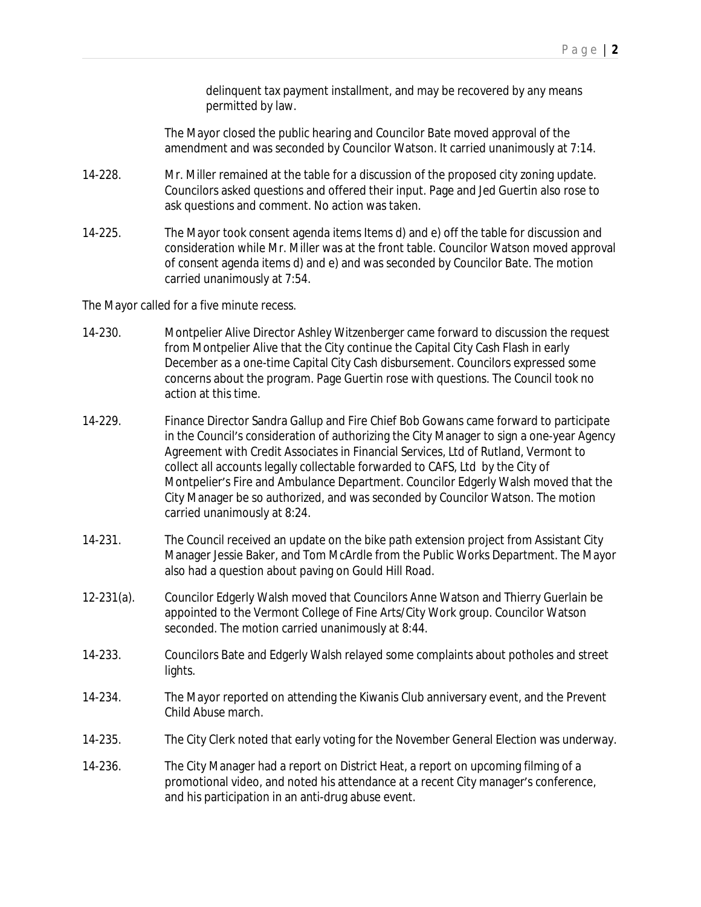delinquent tax payment installment, and may be recovered by any means permitted by law.

The Mayor closed the public hearing and Councilor Bate moved approval of the amendment and was seconded by Councilor Watson. It carried unanimously at 7:14.

- 14-228. Mr. Miller remained at the table for a discussion of the proposed city zoning update. Councilors asked questions and offered their input. Page and Jed Guertin also rose to ask questions and comment. No action was taken.
- 14-225. The Mayor took consent agenda items Items d) and e) off the table for discussion and consideration while Mr. Miller was at the front table. Councilor Watson moved approval of consent agenda items d) and e) and was seconded by Councilor Bate. The motion carried unanimously at 7:54.

The Mayor called for a five minute recess.

- 14-230. Montpelier Alive Director Ashley Witzenberger came forward to discussion the request from Montpelier Alive that the City continue the Capital City Cash Flash in early December as a one-time Capital City Cash disbursement. Councilors expressed some concerns about the program. Page Guertin rose with questions. The Council took no action at this time.
- 14-229. Finance Director Sandra Gallup and Fire Chief Bob Gowans came forward to participate in the Council's consideration of authorizing the City Manager to sign a one-year Agency Agreement with Credit Associates in Financial Services, Ltd of Rutland, Vermont to collect all accounts legally collectable forwarded to CAFS, Ltd by the City of Montpelier's Fire and Ambulance Department. Councilor Edgerly Walsh moved that the City Manager be so authorized, and was seconded by Councilor Watson. The motion carried unanimously at 8:24.
- 14-231. The Council received an update on the bike path extension project from Assistant City Manager Jessie Baker, and Tom McArdle from the Public Works Department. The Mayor also had a question about paving on Gould Hill Road.
- 12-231(a). Councilor Edgerly Walsh moved that Councilors Anne Watson and Thierry Guerlain be appointed to the Vermont College of Fine Arts/City Work group. Councilor Watson seconded. The motion carried unanimously at 8:44.
- 14-233. Councilors Bate and Edgerly Walsh relayed some complaints about potholes and street lights.
- 14-234. The Mayor reported on attending the Kiwanis Club anniversary event, and the Prevent Child Abuse march.
- 14-235. The City Clerk noted that early voting for the November General Election was underway.
- 14-236. The City Manager had a report on District Heat, a report on upcoming filming of a promotional video, and noted his attendance at a recent City manager's conference, and his participation in an anti-drug abuse event.